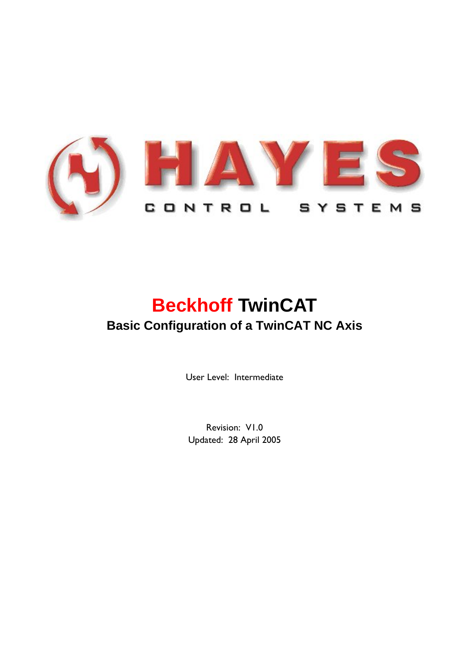

# **Beckhoff TwinCAT Basic Configuration of a TwinCAT NC Axis**

User Level: Intermediate

Revision: V1.0 Updated: 28 April 2005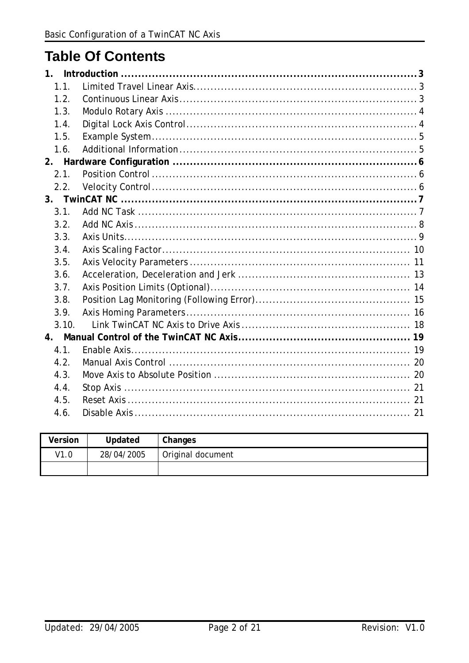## **Table Of Contents**

| 1.1.  |  |
|-------|--|
| 1.2.  |  |
| 1.3.  |  |
| 1.4.  |  |
| 1.5.  |  |
| 1.6.  |  |
|       |  |
| 2.1.  |  |
| 2.2.  |  |
|       |  |
| 3.1.  |  |
| 3.2.  |  |
| 3.3.  |  |
| 3.4.  |  |
| 3.5.  |  |
| 3.6.  |  |
| 3.7.  |  |
| 3.8.  |  |
| 3.9.  |  |
| 3.10. |  |
|       |  |
| 4.1.  |  |
| 4.2.  |  |
| 4.3.  |  |
| 4.4.  |  |
| 4.5.  |  |
| 4.6.  |  |

| Version | Updated    | Changes           |
|---------|------------|-------------------|
| V1.0    | 28/04/2005 | Original document |
|         |            |                   |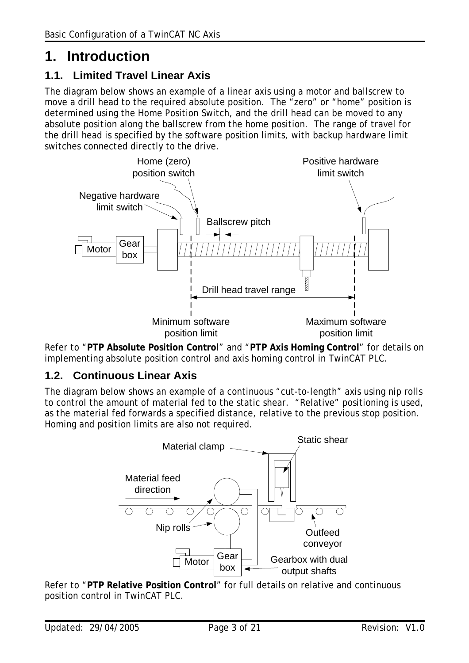## <span id="page-2-0"></span>**1. Introduction**

### **1.1. Limited Travel Linear Axis**

The diagram below shows an example of a linear axis using a motor and ballscrew to move a drill head to the required absolute position. The "zero" or "home" position is determined using the Home Position Switch, and the drill head can be moved to any absolute position along the ballscrew from the home position. The range of travel for the drill head is specified by the software position limits, with backup hardware limit switches connected directly to the drive.



Refer to "**PTP Absolute Position Control**" and "**PTP Axis Homing Control**" for details on implementing absolute position control and axis homing control in TwinCAT PLC.

#### **1.2. Continuous Linear Axis**

The diagram below shows an example of a continuous "cut-to-length" axis using nip rolls to control the amount of material fed to the static shear. "Relative" positioning is used, as the material fed forwards a specified distance, relative to the previous stop position. Homing and position limits are also not required.



Refer to "**PTP Relative Position Control**" for full details on relative and continuous position control in TwinCAT PLC.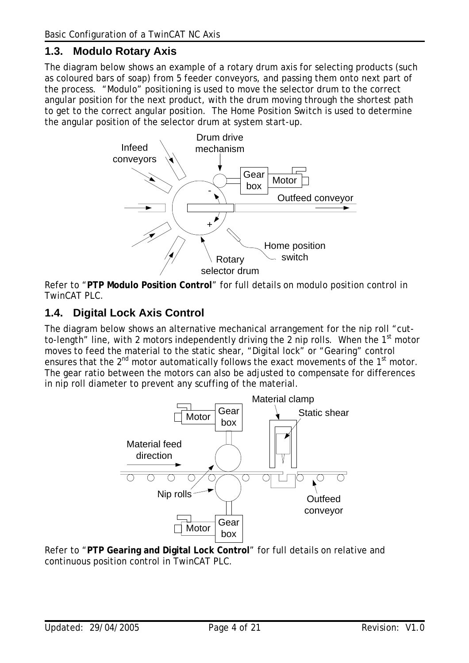#### <span id="page-3-0"></span>**1.3. Modulo Rotary Axis**

The diagram below shows an example of a rotary drum axis for selecting products (such as coloured bars of soap) from 5 feeder conveyors, and passing them onto next part of the process. "Modulo" positioning is used to move the selector drum to the correct angular position for the next product, with the drum moving through the shortest path to get to the correct angular position. The Home Position Switch is used to determine the angular position of the selector drum at system start-up.



Refer to "**PTP Modulo Position Control**" for full details on modulo position control in TwinCAT PLC.

#### **1.4. Digital Lock Axis Control**

The diagram below shows an alternative mechanical arrangement for the nip roll "cutto-length" line, with 2 motors independently driving the 2 nip rolls. When the 1<sup>st</sup> motor moves to feed the material to the static shear, "Digital lock" or "Gearing" control ensures that the  $2^{nd}$  motor automatically follows the exact movements of the  $1<sup>st</sup>$  motor. The gear ratio between the motors can also be adjusted to compensate for differences in nip roll diameter to prevent any scuffing of the material.



Refer to "**PTP Gearing and Digital Lock Control**" for full details on relative and continuous position control in TwinCAT PLC.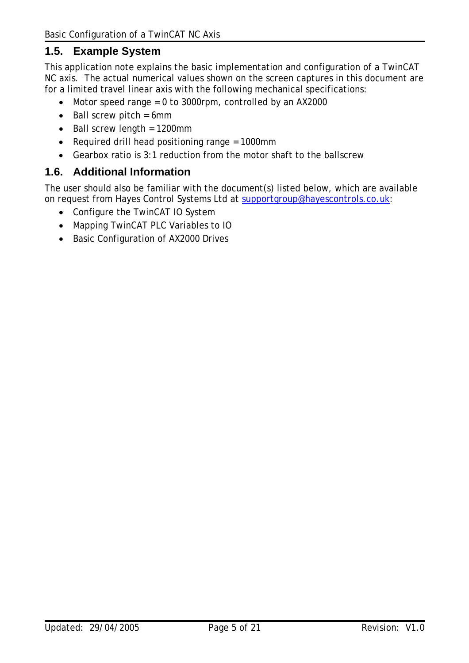#### <span id="page-4-0"></span>**1.5. Example System**

This application note explains the basic implementation and configuration of a TwinCAT NC axis. The actual numerical values shown on the screen captures in this document are for a limited travel linear axis with the following mechanical specifications:

- Motor speed range = 0 to 3000rpm, controlled by an AX2000
- Ball screw pitch = 6mm
- Ball screw length = 1200mm
- Required drill head positioning range = 1000mm
- Gearbox ratio is 3:1 reduction from the motor shaft to the ballscrew

#### **1.6. Additional Information**

The user should also be familiar with the document(s) listed below, which are available on request from Hayes Control Systems Ltd at [supportgroup@hayescontrols.co.uk](mailto:supportgroup@hayescontrols.co.uk):

- Configure the TwinCAT IO System
- Mapping TwinCAT PLC Variables to IO
- Basic Configuration of AX2000 Drives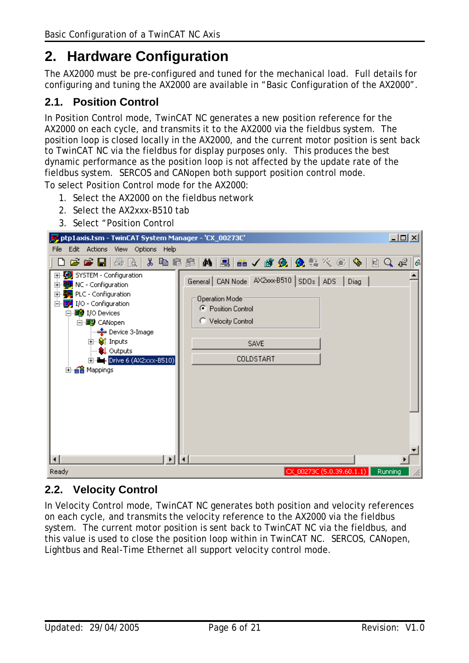## <span id="page-5-1"></span><span id="page-5-0"></span>**2. Hardware Configuration**

The AX2000 must be pre-configured and tuned for the mechanical load. Full details for configuring and tuning the AX2000 are available in "Basic Configuration of the AX2000".

#### **2.1. Position Control**

In Position Control mode, TwinCAT NC generates a new position reference for the AX2000 on each cycle, and transmits it to the AX2000 via the fieldbus system. The position loop is closed locally in the AX2000, and the current motor position is sent back to TwinCAT NC via the fieldbus for display purposes only. This produces the best dynamic performance as the position loop is not affected by the update rate of the fieldbus system. SERCOS and CANopen both support position control mode.

To select Position Control mode for the AX2000:

- 1. Select the AX2000 on the fieldbus network
- 2. Select the AX2xxx-B510 tab
- 3. Select "Position Control

| ptp1axis.tsm - TwinCAT System Manager - 'CX_00273C'                                                                                                                                                                                                                           |                                                                                                                                    | 그미지       |
|-------------------------------------------------------------------------------------------------------------------------------------------------------------------------------------------------------------------------------------------------------------------------------|------------------------------------------------------------------------------------------------------------------------------------|-----------|
| File Edit Actions View Options Help                                                                                                                                                                                                                                           |                                                                                                                                    |           |
| 0 <del>6 6 8</del> 6<br>Là.                                                                                                                                                                                                                                                   | ↓ 电尾晶   A   黑   a √ a & Q   Q % ☆ ©   Q                                                                                            | 目Q。<br> 6 |
| 田·92 SYSTEM - Configuration<br><b>B</b> u NC - Configuration<br>田<br>PLC - Configuration<br>F<br>I/O - Configuration<br>Ėŀ<br>白 <b>野</b> I/O Devices<br>白 图 CANopen<br>⊶ Device 3-Image<br><b>E</b> Striputs<br><b>Q</b> Outputs<br>E - Prive 6 (AX2xxx-B510)<br>由 a Mappings | General CAN Node AX2xxx-B510 SDOs ADS  <br>Operation Mode:<br>C Position Control<br>C Velocity Control<br><b>SAVE</b><br>COLDSTART | Diag      |
| Ready                                                                                                                                                                                                                                                                         | CX_00273C (5.0.39.60.1.1)                                                                                                          | Running   |

#### **2.2. Velocity Control**

In Velocity Control mode, TwinCAT NC generates both position and velocity references on each cycle, and transmits the velocity reference to the AX2000 via the fieldbus system. The current motor position is sent back to TwinCAT NC via the fieldbus, and this value is used to close the position loop within in TwinCAT NC. SERCOS, CANopen, Lightbus and Real-Time Ethernet all support velocity control mode.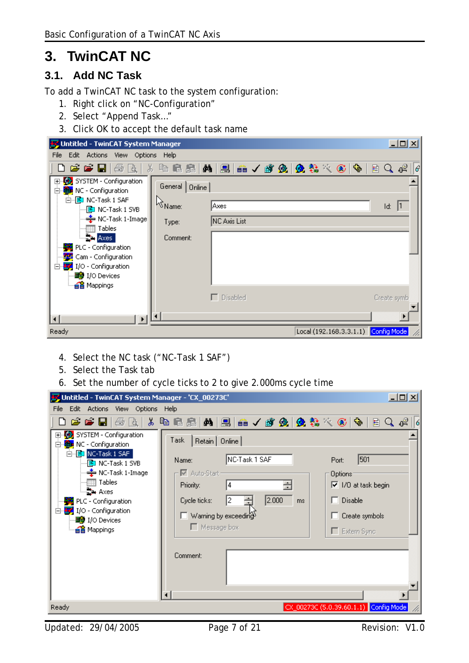## <span id="page-6-0"></span>**3. TwinCAT NC**

### **3.1. Add NC Task**

To add a TwinCAT NC task to the system configuration:

- 1. Right click on "NC-Configuration"
- 2. Select "Append Task…"
- 3. Click OK to accept the default task name

| Untitled - TwinCAT System Manager                                     |                                     | $-12X$      |
|-----------------------------------------------------------------------|-------------------------------------|-------------|
| Edit Actions View Options Help<br>File                                |                                     |             |
| D 2 2 H 3 & X                                                         | 电尾晶 内周 品 ノダ免 免疫をのや 日 Q ポ            | 16          |
| El-EL, SYSTEM - Configuration<br>白 <mark>追p</mark> NC - Configuration | General   Online                    |             |
| 白吧 NC-Task 1 SAF<br>- <mark>□</mark> NC-Task 1 SVB                    | W <sub>Name</sub><br> Axes          | Id:         |
| ·用 Tables                                                             | NC Axis List<br>Type:               |             |
| <b>Latter Axes</b>                                                    | Comment:                            |             |
| PLC - Configuration<br>Cam - Configuration                            |                                     |             |
| I/O - Configuration<br>Ė.                                             |                                     |             |
| <b>■ I/O Devices</b>                                                  |                                     |             |
| · a P Mappings                                                        | $\Box$ Disabled                     |             |
|                                                                       |                                     | Create symb |
|                                                                       |                                     |             |
| Ready                                                                 | Local (192.168.3.3.1.1) Config Mode |             |

- 4. Select the NC task ("NC-Task 1 SAF")
- 5. Select the Task tab
- 6. Set the number of cycle ticks to 2 to give 2.000ms cycle time

| Untitled - TwinCAT System Manager - 'CX_00273C'                                                                                                                                                                                                                                                           |                                                                                                                                                                                                                                                                                                            | $  \Box$ $\times$ |
|-----------------------------------------------------------------------------------------------------------------------------------------------------------------------------------------------------------------------------------------------------------------------------------------------------------|------------------------------------------------------------------------------------------------------------------------------------------------------------------------------------------------------------------------------------------------------------------------------------------------------------|-------------------|
| Edit Actions View Options Help<br>File                                                                                                                                                                                                                                                                    |                                                                                                                                                                                                                                                                                                            |                   |
| 66 LI 5 RI                                                                                                                                                                                                                                                                                                |                                                                                                                                                                                                                                                                                                            | o≌                |
| SYSTEM - Configuration<br>白 t <mark>自x</mark> NC - Configuration<br>白 <mark>白</mark> NC-Task 1 SAF<br>…… <mark>『E</mark> 』NC-Task 1 SVB<br>— <del>‡</del> NC-Task 1-Image<br>   Tables<br>└─랄→ Axes<br>PLC - Configuration<br>I/O - Configuration<br>Ė4<br>··· ■ I/O Devices<br>a <mark>省</mark> Mappings | Task<br>Retain   Online<br>NC-Task 1 SAF<br>501<br>Name:<br>Port:<br>- IV Auto-Start -<br>Options:<br>$\nabla$ 1/0 at task begin<br>Priority:<br> 4<br>2.000<br>Disable<br>12<br>┓<br>Cycle ticks:<br>ms<br>$\Box$ Warning by exceeding<br>Create symbols<br>$\Box$ Message box<br>Extern Sync<br>Comment: |                   |
| Ready                                                                                                                                                                                                                                                                                                     | CX_00273C (5.0.39.60.1.1) Config Mode                                                                                                                                                                                                                                                                      |                   |

Updated: 29/04/2005 Page 7 of 21 Revision: V1.0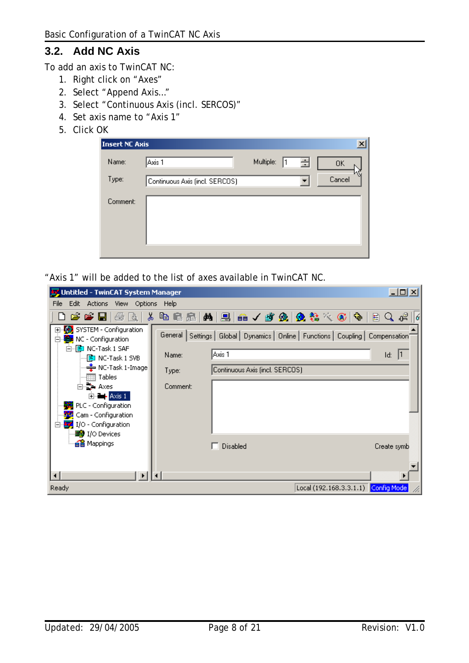## <span id="page-7-0"></span>**3.2. Add NC Axis**

To add an axis to TwinCAT NC:

- 1. Right click on "Axes"
- 2. Select "Append Axis…"
- 3. Select "Continuous Axis (incl. SERCOS)"
- 4. Set axis name to "Axis 1"
- 5. Click OK

| <b>Insert NC Axis</b> |                                |           |   | $\vert x \vert$ |
|-----------------------|--------------------------------|-----------|---|-----------------|
| Name:                 | Axis 1                         | Multiple: | 골 | 0K              |
| Type:                 | Continuous Axis (incl. SERCOS) |           |   | Cancel          |
| Comment:              |                                |           |   |                 |
|                       |                                |           |   |                 |
|                       |                                |           |   |                 |
|                       |                                |           |   |                 |

"Axis 1" will be added to the list of axes available in TwinCAT NC.

| <b>By</b> Untitled - TwinCAT System Manager                                       |                                                                                        | 그미지         |
|-----------------------------------------------------------------------------------|----------------------------------------------------------------------------------------|-------------|
| Edit Actions View Options<br><b>File</b>                                          | – Help                                                                                 |             |
|                                                                                   |                                                                                        | 目Q。         |
| SYSTEM - Configuration<br><b>TEM</b> NC - Configuration<br>Ē۰<br>白吧 NC-Task 1 SAF | General   Settings   Global   Dynamics   Online   Functions   Coupling   Compensation' |             |
| … <mark>■</mark> NC-Task 1 SVB                                                    | Axis 1<br>Name:                                                                        | Id:         |
| (## Tables                                                                        | Continuous Axis (incl. SERCOS)<br>Type:                                                |             |
| $E =$ Axis 1                                                                      | Comment:                                                                               |             |
| PLC - Configuration<br><b>Pro</b> Cam - Configuration                             |                                                                                        |             |
| $\Box$ $\Box$ I/O - Configuration<br><b>■ I/O Devices</b>                         |                                                                                        |             |
| · a P Mappings                                                                    | Disabled                                                                               | Create symb |
|                                                                                   |                                                                                        |             |
| Ready                                                                             | Local (192.168.3.3.1.1) Config Mode                                                    |             |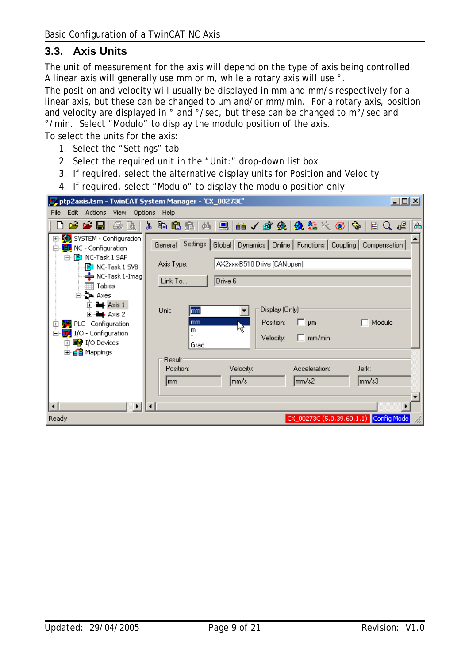#### <span id="page-8-0"></span>**3.3. Axis Units**

The unit of measurement for the axis will depend on the type of axis being controlled. A linear axis will generally use mm or m, while a rotary axis will use °.

The position and velocity will usually be displayed in mm and mm/s respectively for a linear axis, but these can be changed to µm and/or mm/min. For a rotary axis, position and velocity are displayed in ° and °/sec, but these can be changed to m°/sec and °/min. Select "Modulo" to display the modulo position of the axis.

To select the units for the axis:

- 1. Select the "Settings" tab
- 2. Select the required unit in the "Unit:" drop-down list box
- 3. If required, select the alternative display units for Position and Velocity
- 4. If required, select "Modulo" to display the modulo position only

|                                                                                                             | ptp2axis.tsm - TwinCAT System Manager - 'CX_00273C'                                                                                      | <u>니미지</u> |
|-------------------------------------------------------------------------------------------------------------|------------------------------------------------------------------------------------------------------------------------------------------|------------|
| Edit Actions View Options Help<br>File                                                                      |                                                                                                                                          |            |
| d 2 2 H 5 Q                                                                                                 | 电扁晶 两 黒 品 ノ 故 免 免 者 之 む や 目 Q だ<br>do.                                                                                                   | 160        |
| 田 <mark>委</mark> : SYSTEM - Configuration<br><b>The NC - Configuration</b><br>F<br>白 <b>P</b> NC-Task 1 SAF | Settings  <br>Global   Dynamics   Online   Functions   Coupling   Compensation  <br>General<br>AX2xxx-B510 Drive (CANopen)<br>Axis Type: |            |
| ····· <mark>国</mark> 】 NC-Task 1 SVB<br>— <del>≛</del> NC-Task 1-Imag<br>□ b Axes                           | Drive 6<br>Link To                                                                                                                       |            |
| $\Box$ - Axis 1<br>$E - A \times S$ 2<br>PLC - Configuration<br>田<br>I/O - Configuration<br>Ėŀ              | Display (Only)<br>Unit:<br>mm<br>Position:<br>Modulo<br>$\Box$ $\mu$ m<br>mm<br>₩<br>m<br>$\Box$ mm/min<br>Velocity:                     |            |
| 由 图 I/O Devices<br>由·ei Mappings                                                                            | Grad<br><b>Result</b><br>Velocity:<br>Acceleration:<br>Jerk:<br>Position:                                                                |            |
|                                                                                                             | mm/s<br>mm/s2<br>lmm/s3<br>lmm.                                                                                                          |            |
| Ready                                                                                                       | CX_00273C (5.0.39.60.1.1) Config Mode                                                                                                    |            |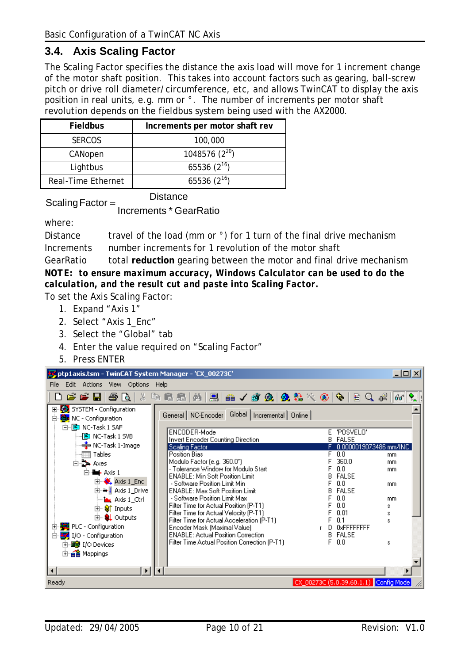#### <span id="page-9-0"></span>**3.4. Axis Scaling Factor**

The Scaling Factor specifies the distance the axis load will move for 1 increment change of the motor shaft position. This takes into account factors such as gearing, ball-screw pitch or drive roll diameter/circumference, etc, and allows TwinCAT to display the axis position in real units, e.g. mm or °. The number of increments per motor shaft revolution depends on the fieldbus system being used with the AX2000.

| <b>Fieldbus</b>    | Increments per motor shaft rev |
|--------------------|--------------------------------|
| <b>SERCOS</b>      | 100,000                        |
| CANopen            | 1048576 $(2^{20})$             |
| Lightbus           | 65536 $(2^{16})$               |
| Real-Time Ethernet | 65536 $(2^{16})$               |

 $Scaling Factor = \frac{Distance}{100}$ 

Increments \* GearRatio

where:

Distance travel of the load (mm or  $\degree$ ) for 1 turn of the final drive mechanism Increments number increments for 1 revolution of the motor shaft

GearRatio total **reduction** gearing between the motor and final drive mechanism *NOTE: to ensure maximum accuracy, Windows Calculator can be used to do the calculation, and the result cut and paste into Scaling Factor.* 

To set the Axis Scaling Factor:

- 1. Expand "Axis 1"
- 2. Select "Axis 1\_Enc"
- 3. Select the "Global" tab
- 4. Enter the value required on "Scaling Factor"
- 5. Press ENTER

| 그미지<br>ptp1axis.tsm - TwinCAT System Manager - 'CX_00273C'                        |                                                                         |                                       |   |  |
|-----------------------------------------------------------------------------------|-------------------------------------------------------------------------|---------------------------------------|---|--|
| Edit Actions View Options Help<br>File                                            |                                                                         |                                       |   |  |
| 0 <del>e e l</del> 8 q X                                                          | 电尾扇 两 黑 击 / 感 免 免 集 4 6   4   2 0 ポ   6                                 |                                       | ° |  |
| 田 5YSTEM - Configuration<br>白 time NC - Configuration<br>白 <b>E</b> NC-Task 1 SAF | General NC-Encoder Global   Incremental   Online                        |                                       |   |  |
| ┈CD NC-Task 1 SVB                                                                 | ENCODER-Mode<br>Invert Encoder Counting Direction                       | E 'POSVELO'<br><b>B</b> FALSE         |   |  |
| — <del>≛</del> NC-Task 1-Image                                                    | Scaling Factor                                                          | 0.0000019073486 mm/INC                |   |  |
| <b>图 Tables</b>                                                                   | Position Bias                                                           | 0.0<br>mm.<br>360.0                   |   |  |
| 白·草 Axes                                                                          | Modulo Factor (e.g. 360.0°)<br>- Tolerance Window for Modulo Start      | mm.<br>0.0<br>mm                      |   |  |
| $\Box$ - Axis 1                                                                   | <b>ENABLE: Min Soft Position Limit</b>                                  | <b>FALSE</b>                          |   |  |
| $\overline{+}$ $\overline{+}$ Axis 1 Enc                                          | - Software Position Limit Min                                           | 0.0<br>mm                             |   |  |
| 由- ➡ <mark>↓</mark> Axis 1_Drive                                                  | <b>ENABLE: Max Soft Position Limit</b>                                  | <b>FALSE</b>                          |   |  |
| — <mark>i≙v</mark> Axis 1_Ctrl                                                    | - Software Position Limit Max<br>Filter Time for Actual Position (P-T1) | 0.0<br>mm<br>0.0                      |   |  |
| ⊞- <sup>©</sup> ¶ Inputs                                                          | Filter Time for Actual Velocity (P-T1)                                  | s<br>0.01<br>s                        |   |  |
| 由… <b>SL</b> Outputs                                                              | Filter Time for Actual Acceleration (P-T1)                              | 0.1<br>Ś                              |   |  |
| · Biggeration<br>田                                                                | Encoder Mask (Maximal Value)                                            | D OxFFFFFFFF<br>$\mathbb T$           |   |  |
| I/O - Configuration<br>Ĥ.                                                         | <b>ENABLE: Actual Position Correction</b>                               | <b>B</b> FALSE                        |   |  |
| 由 ■ I/O Devices                                                                   | Filter Time Actual Position Correction (P-T1)                           | F 0.0<br>s                            |   |  |
| <b>E</b> e Mappings                                                               |                                                                         |                                       |   |  |
|                                                                                   |                                                                         |                                       |   |  |
|                                                                                   |                                                                         |                                       |   |  |
| Ready                                                                             |                                                                         | CX_00273C (5.0.39.60.1.1) Config Mode |   |  |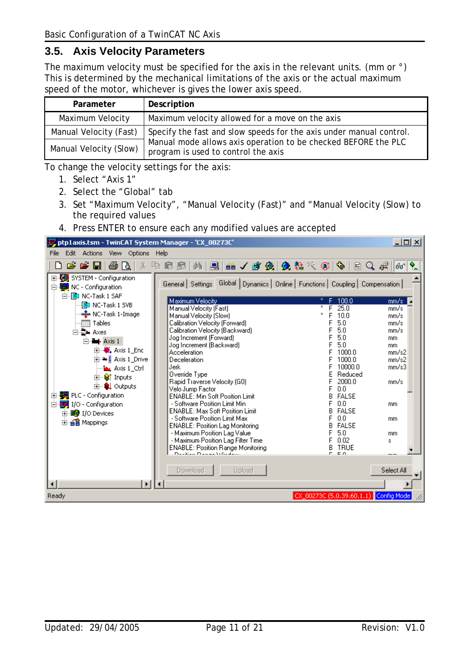### <span id="page-10-0"></span>**3.5. Axis Velocity Parameters**

The maximum velocity must be specified for the axis in the relevant units. (mm or °) This is determined by the mechanical limitations of the axis or the actual maximum speed of the motor, whichever is gives the lower axis speed.

| Parameter              | Description                                                                                           |
|------------------------|-------------------------------------------------------------------------------------------------------|
| Maximum Velocity       | Maximum velocity allowed for a move on the axis                                                       |
| Manual Velocity (Fast) | Specify the fast and slow speeds for the axis under manual control.                                   |
| Manual Velocity (Slow) | Manual mode allows axis operation to be checked BEFORE the PLC<br>program is used to control the axis |

To change the velocity settings for the axis:

- 1. Select "Axis 1"
- 2. Select the "Global" tab
- 3. Set "Maximum Velocity", "Manual Velocity (Fast)" and "Manual Velocity (Slow) to the required values
- 4. Press ENTER to ensure each any modified values are accepted

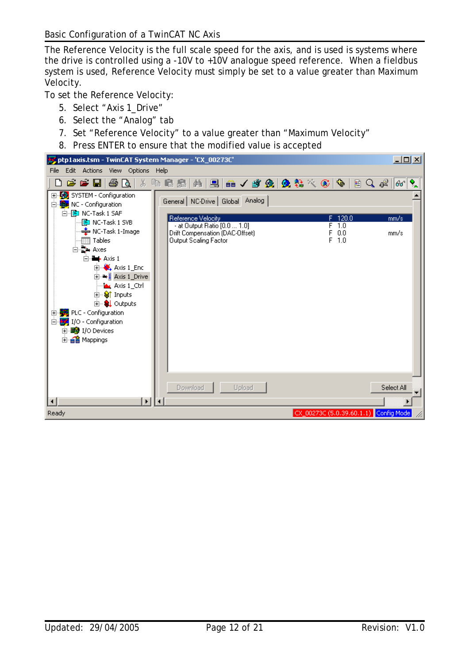The Reference Velocity is the full scale speed for the axis, and is used is systems where the drive is controlled using a -10V to +10V analogue speed reference. When a fieldbus system is used, Reference Velocity must simply be set to a value greater than Maximum Velocity.

To set the Reference Velocity:

- 5. Select "Axis 1\_Drive"
- 6. Select the "Analog" tab
- 7. Set "Reference Velocity" to a value greater than "Maximum Velocity"
- 8. Press ENTER to ensure that the modified value is accepted

| ptp1axis.tsm - TwinCAT System Manager - 'CX_00273C'                                                                                                    |                                                                                                                                                           | $\Box$ u $\times$                           |
|--------------------------------------------------------------------------------------------------------------------------------------------------------|-----------------------------------------------------------------------------------------------------------------------------------------------------------|---------------------------------------------|
| Edit Actions View Options Help<br>File                                                                                                                 |                                                                                                                                                           |                                             |
| $\bullet\bullet\blacksquare\bullet\boxtimes\blacksquare$                                                                                               | 电尾晶 南国 品/歌魚 免疫への 中日Q 41                                                                                                                                   | $\mathbf{Q}_{\mathbf{A}}$<br>$ 60^{\circ} $ |
| 田 5YSTEM - Configuration<br>白 tak NC - Configuration<br>白 · <b>P</b> NC-Task 1 SAF                                                                     | General   NC-Drive   Global   Analog                                                                                                                      |                                             |
| ·PI NC-Task 1 SVB<br>→ NC-Task 1-Image<br>Tables<br>⊟ D-Axes<br>$\Box$ - Axis 1<br>$\Box$ $\bullet$ Axis 1 Enc                                         | Reference Velocity<br>F 120.0<br>- at Output Ratio [0.0  1.0]<br>F 1.0<br>0.0<br>Drift Compensation (DAC-Offset)<br>F<br>$F$ 1.0<br>Output Scaling Factor | mm/s<br>mm/s                                |
| ⊞ <sup>.</sup> → L Axis 1_Drive<br>Axis 1_Ctrl<br>⊞ <sup>9</sup> Inputs<br><b>E</b> & Outputs<br>PLC - Configuration<br>F<br>I/O - Configuration<br>Ė4 |                                                                                                                                                           |                                             |
| 由 图 I/O Devices<br>由·e Mappings                                                                                                                        |                                                                                                                                                           |                                             |
| ▸│                                                                                                                                                     | Download<br>Upload<br>◥                                                                                                                                   | Select All                                  |
| Ready                                                                                                                                                  | CX_00273C (5.0.39.60.1.1) Config Mode                                                                                                                     |                                             |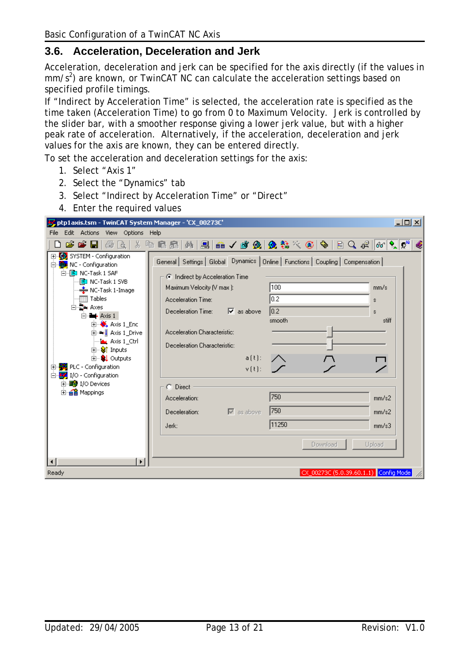## <span id="page-12-0"></span>**3.6. Acceleration, Deceleration and Jerk**

Acceleration, deceleration and jerk can be specified for the axis directly (if the values in  $mm/s<sup>2</sup>$ ) are known, or TwinCAT NC can calculate the acceleration settings based on specified profile timings.

If "Indirect by Acceleration Time" is selected, the acceleration rate is specified as the time taken (Acceleration Time) to go from 0 to Maximum Velocity. Jerk is controlled by the slider bar, with a smoother response giving a lower jerk value, but with a higher peak rate of acceleration. Alternatively, if the acceleration, deceleration and jerk values for the axis are known, they can be entered directly.

To set the acceleration and deceleration settings for the axis:

- 1. Select "Axis 1"
- 2. Select the "Dynamics" tab
- 3. Select "Indirect by Acceleration Time" or "Direct"
- 4. Enter the required values

| ptp1axis.tsm - TwinCAT System Manager - 'CX_00273C'                                                                                                                                                                                                                                                                                                                                                                                         |                                                                                                                                                                                                                                                                                                                                                                                                                                                    |                                                                                          | 그미지                                                            |
|---------------------------------------------------------------------------------------------------------------------------------------------------------------------------------------------------------------------------------------------------------------------------------------------------------------------------------------------------------------------------------------------------------------------------------------------|----------------------------------------------------------------------------------------------------------------------------------------------------------------------------------------------------------------------------------------------------------------------------------------------------------------------------------------------------------------------------------------------------------------------------------------------------|------------------------------------------------------------------------------------------|----------------------------------------------------------------|
| Edit Actions View Options Help<br>File                                                                                                                                                                                                                                                                                                                                                                                                      |                                                                                                                                                                                                                                                                                                                                                                                                                                                    |                                                                                          |                                                                |
| ۱۹                                                                                                                                                                                                                                                                                                                                                                                                                                          | <del>ゴゴ日   当山   *中に出   内   日   白 / が 久   久 社 べ ①   中   日 Q ポ   40   久 0*</del>                                                                                                                                                                                                                                                                                                                                                                     |                                                                                          |                                                                |
| El <sup></sup> SYSTEM - Configuration<br>白 the NC - Configuration<br>白吧 NC-Task 1 SAF<br>- © NC-Task 1 SVB<br>└ NC-Task 1-Image<br>⊞ Tables<br>白雪, Axes<br>$\Box$ - Axis 1<br>$\Box$ Axis 1 Enc<br>由 → Laxis 1_Drive<br><b>Axis 1</b> Ctrl<br><b>E</b> Strnputs<br><b>⊞</b> · <b>&amp; L</b> Outputs<br>由 20 PLC - Configuration<br>白 <mark>梦</mark> I/O - Configuration<br>由 99 I/O Devices<br>由·e Mappings<br>ь<br>$\left  \cdot \right $ | General   Settings   Global Dynamics   Online   Functions   Coupling   Compensation  <br><b>C</b> Indirect by Acceleration Time<br>Maximum Velocity (V max ):<br>Acceleration Time:<br>Deceleration Time: $\overline{\triangledown}$ as above<br>Acceleration Characteristic:<br>Deceleration Characteristic:<br>$a(t)$ :<br>$\mathsf{v}(t):=\Box f$<br>C Direct<br>Acceleration:<br>$\overline{\triangledown}$ as above<br>Deceleration:<br>Jerk: | 100<br>$\overline{0.2}$<br>$\overline{0.2}$<br>smooth<br>750<br>750<br>11250<br>Download | mm/s<br>s.<br>s.<br>stiff<br>mm/s2<br>mm/s2<br>mm/s3<br>Upload |
| Ready                                                                                                                                                                                                                                                                                                                                                                                                                                       |                                                                                                                                                                                                                                                                                                                                                                                                                                                    | CX_00273C (5.0.39.60.1.1) Config Mode                                                    |                                                                |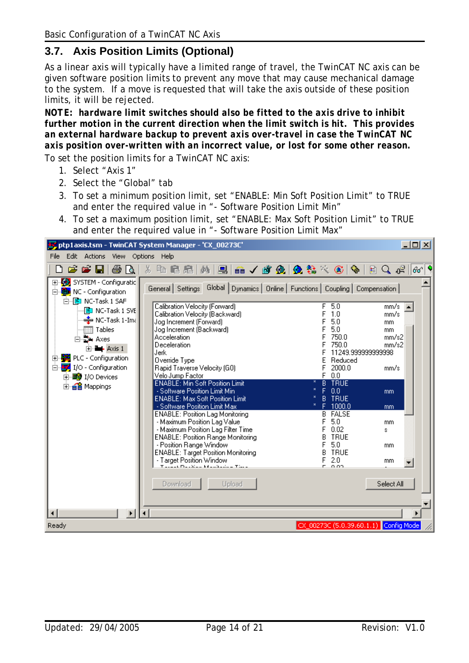#### <span id="page-13-0"></span>**3.7. Axis Position Limits (Optional)**

As a linear axis will typically have a limited range of travel, the TwinCAT NC axis can be given software position limits to prevent any move that may cause mechanical damage to the system. If a move is requested that will take the axis outside of these position limits, it will be rejected.

*NOTE: hardware limit switches should also be fitted to the axis drive to inhibit further motion in the current direction when the limit switch is hit. This provides an external hardware backup to prevent axis over-travel in case the TwinCAT NC axis position over-written with an incorrect value, or lost for some other reason.* 

To set the position limits for a TwinCAT NC axis:

- 1. Select "Axis 1"
- 2. Select the "Global" tab
- 3. To set a minimum position limit, set "ENABLE: Min Soft Position Limit" to TRUE and enter the required value in "- Software Position Limit Min"
- 4. To set a maximum position limit, set "ENABLE: Max Soft Position Limit" to TRUE and enter the required value in "- Software Position Limit Max"

|                                                                                                                                                                                                                                                                                                                        | ptp1axis.tsm - TwinCAT System Manager - 'CX_00273C'                                                                                                                                                                                                                                                                                                                                                                                                                                                                                                                                                                                                                                                                                          |                                                                                                                                                                                                                                                                                                                      | $\Box$ o $\Box$                                                                                       |
|------------------------------------------------------------------------------------------------------------------------------------------------------------------------------------------------------------------------------------------------------------------------------------------------------------------------|----------------------------------------------------------------------------------------------------------------------------------------------------------------------------------------------------------------------------------------------------------------------------------------------------------------------------------------------------------------------------------------------------------------------------------------------------------------------------------------------------------------------------------------------------------------------------------------------------------------------------------------------------------------------------------------------------------------------------------------------|----------------------------------------------------------------------------------------------------------------------------------------------------------------------------------------------------------------------------------------------------------------------------------------------------------------------|-------------------------------------------------------------------------------------------------------|
| Edit Actions<br>File                                                                                                                                                                                                                                                                                                   | View Options Help                                                                                                                                                                                                                                                                                                                                                                                                                                                                                                                                                                                                                                                                                                                            |                                                                                                                                                                                                                                                                                                                      |                                                                                                       |
| e e H<br>80.                                                                                                                                                                                                                                                                                                           | Y,<br>电自足                                                                                                                                                                                                                                                                                                                                                                                                                                                                                                                                                                                                                                                                                                                                    |                                                                                                                                                                                                                                                                                                                      | ା≣ର ∉<br> 60                                                                                          |
| El <sup></sup> Ey, SYSTEM - Configuratio<br>白 tak NC - Configuration<br>白 <b>P</b> NC-Task 1 SAF<br>图 NC-Task 1 SVE<br>$\triangleq$ NC-Task 1-Ima<br>$\overline{\mathbb{H}}$ Tables<br>⊟ exes<br>E-B-Axis 1<br>PLC - Configuration<br>$\mathbf{F}$<br>I/O - Configuration<br>Ėŀ<br>由 图 I/O Devices<br>由· a la Mappings | General Settings<br>Calibration Velocity (Forward)<br>Calibration Velocity (Backward)<br>Jog Increment (Forward)<br>Jog Increment (Backward)<br>Acceleration<br>Deceleration<br>Jerk<br>Override Type<br>Rapid Traverse Velocity (G0)<br>Velo Jump Factor<br><b>ENABLE: Min Soft Position Limit</b><br>- Software Position Limit Min<br><b>ENABLE: Max Soft Position Limit</b><br>- Software Position Limit Max<br><b>ENABLE: Position Lag Monitoring</b><br>- Maximum Position Lag Value<br>- Maximum Position Lag Filter Time<br><b>ENABLE: Position Range Monitoring</b><br>- Position Range Window<br><b>ENABLE: Target Position Monitoring</b><br>- Target Position Window<br>t 1121. na sklad kradičala – tisa 1<br>Download<br>Upload | Global Dynamics   Online   Functions   Coupling   Compensation  <br>5.0<br>F<br>1.0<br>5.0<br>5.0<br>750.0<br>750.0<br>11249.999999999998<br>Reduced<br>2000.0<br>0.0<br><b>TRUE</b><br>B<br>0.0<br><b>TRUE</b><br>1000.0<br>FALSE<br>В<br>5.0<br>0.02<br><b>TRUE</b><br>5.0<br><b>TRUE</b><br>В<br>2.0<br>F<br>0.02 | mm/s<br>mm/s<br>mm<br>mm.<br>mm/s2<br>mm/s2<br>mm/s<br>mm<br>mm<br>mm<br>s.<br>mm<br>mm<br>Select All |
| $\blacktriangleright$                                                                                                                                                                                                                                                                                                  | $\lvert \cdot \rvert$                                                                                                                                                                                                                                                                                                                                                                                                                                                                                                                                                                                                                                                                                                                        |                                                                                                                                                                                                                                                                                                                      |                                                                                                       |
| Ready                                                                                                                                                                                                                                                                                                                  |                                                                                                                                                                                                                                                                                                                                                                                                                                                                                                                                                                                                                                                                                                                                              | CX_00273C (5.0.39.60.1.1) Config Mode                                                                                                                                                                                                                                                                                |                                                                                                       |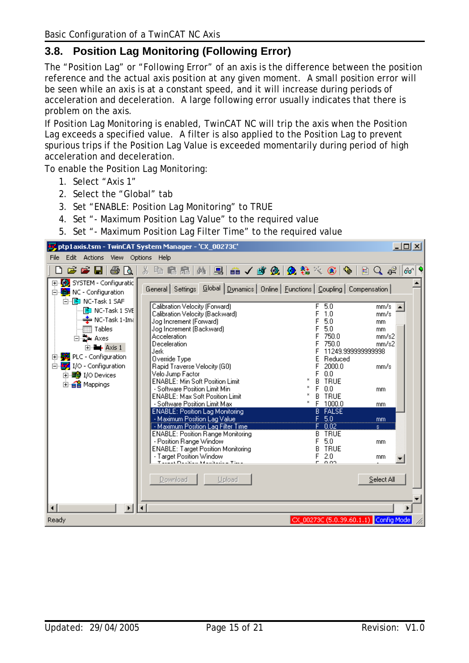### <span id="page-14-0"></span>**3.8. Position Lag Monitoring (Following Error)**

The "Position Lag" or "Following Error" of an axis is the difference between the position reference and the actual axis position at any given moment. A small position error will be seen while an axis is at a constant speed, and it will increase during periods of acceleration and deceleration. A large following error usually indicates that there is problem on the axis.

If Position Lag Monitoring is enabled, TwinCAT NC will trip the axis when the Position Lag exceeds a specified value. A filter is also applied to the Position Lag to prevent spurious trips if the Position Lag Value is exceeded momentarily during period of high acceleration and deceleration.

To enable the Position Lag Monitoring:

- 1. Select "Axis 1"
- 2. Select the "Global" tab
- 3. Set "ENABLE: Position Lag Monitoring" to TRUE
- 4. Set "- Maximum Position Lag Value" to the required value
- 5. Set "- Maximum Position Lag Filter Time" to the required value

|                                                                           | ptp1axis.tsm - TwinCAT System Manager - 'CX_00273C'                                   |                                        | ᅴᄆᄼ |
|---------------------------------------------------------------------------|---------------------------------------------------------------------------------------|----------------------------------------|-----|
| Edit Actions View Options<br><b>File</b>                                  | Help                                                                                  |                                        |     |
| $\bullet$ H<br>68 Q<br>É                                                  | 两层 品人或免费者交叉员<br>X<br>电量品                                                              | $\mathbb{E}[\mathbb{Q},\mathbb{Q}]$    | 60  |
| 田 2 SYSTEM - Configuratio<br>白 tak NC - Configuration<br>白吧 NC-Task 1 SAF | General   Settings   Global   Dynamics   Online   Eunctions   Coupling   Compensation |                                        |     |
| - <mark>□</mark> NC-Task 1 SVE                                            | Calibration Velocity (Forward)<br>Calibration Velocity (Backward)                     | 5.0<br>F<br>mm/s<br>1.0<br>mm/s        |     |
| ♣ NC-Task 1-Ima<br>Tables                                                 | Jog Increment (Forward)                                                               | 5.0<br>mm.<br>5.0                      |     |
| ⊟ D+ Axes                                                                 | Jog Increment (Backward)<br>Acceleration                                              | mm.<br>750.0<br>mm/s2                  |     |
| $\Box$ - Axis 1                                                           | Deceleration<br>Jerk                                                                  | 750.0<br>mm/s2<br>11249.999999999998   |     |
| 白· <mark>美</mark> PLC - Configuration                                     | Override Type                                                                         | Reduced                                |     |
| 白 V I/O - Configuration<br>由 99 I/O Devices                               | Rapid Traverse Velocity (G0)<br>Velo Jump Factor                                      | 2000.0<br>mm/s<br>0.0                  |     |
| 由 a Mappings                                                              | <b>ENABLE: Min Soft Position Limit</b>                                                | <b>TRUE</b><br>В                       |     |
|                                                                           | - Software Position Limit Min<br><b>ENABLE: Max Soft Position Limit</b>               | 0.0<br>mm.<br><b>TRUE</b><br>В         |     |
|                                                                           | - Software Position Limit Max                                                         | 1000.0<br>mm                           |     |
|                                                                           | <b>ENABLE: Position Lag Monitoring</b><br>- Maximum Position Lag Value                | <b>FALSE</b><br>В<br>F<br>$-5.0$<br>mm |     |
|                                                                           | - Maximum Position Lag Filter Time                                                    | 0.02<br>s.                             |     |
|                                                                           | <b>ENABLE: Position Range Monitoring</b>                                              | <b>TRUE</b><br>В<br>5.0                |     |
|                                                                           | - Position Range Window<br><b>ENABLE: Target Position Monitoring</b>                  | mm<br><b>TRUE</b>                      |     |
|                                                                           | - Target Position Window<br>Tarant Daritime Manitaine Time                            | F<br>2.0<br>mm<br>ല വരവ                |     |
|                                                                           | Download<br>Upload                                                                    | Select All                             |     |
| ⊣∣<br>$\blacktriangleright$                                               | $\left  \cdot \right $                                                                |                                        |     |
| CX_00273C (5.0.39.60.1.1) Config Mode<br>Ready                            |                                                                                       |                                        |     |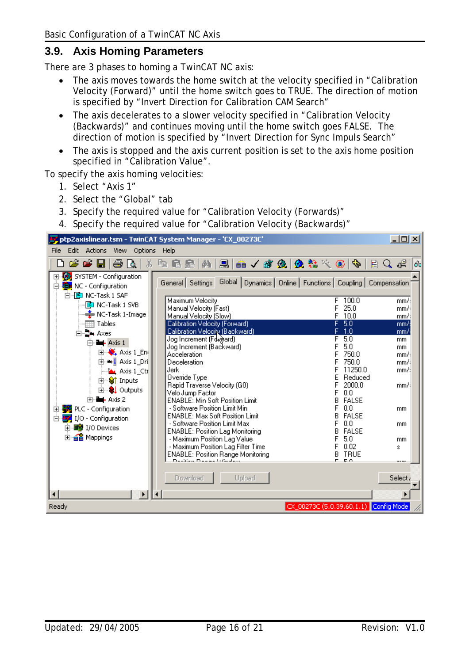#### <span id="page-15-0"></span>**3.9. Axis Homing Parameters**

There are 3 phases to homing a TwinCAT NC axis:

- The axis moves towards the home switch at the velocity specified in "Calibration Velocity (Forward)" until the home switch goes to TRUE. The direction of motion is specified by "Invert Direction for Calibration CAM Search"
- The axis decelerates to a slower velocity specified in "Calibration Velocity (Backwards)" and continues moving until the home switch goes FALSE. The direction of motion is specified by "Invert Direction for Sync Impuls Search"
- The axis is stopped and the axis current position is set to the axis home position specified in "Calibration Value".

To specify the axis homing velocities:

- 1. Select "Axis 1"
- 2. Select the "Global" tab
- 3. Specify the required value for "Calibration Velocity (Forwards)"
- 4. Specify the required value for "Calibration Velocity (Backwards)"

| <u>니미지</u><br>y <mark>s</mark> ptp2axislinear.tsm - TwinCAT System Manager - 'CX_00273C'                            |                                                                                                                                                         |                      |  |
|---------------------------------------------------------------------------------------------------------------------|---------------------------------------------------------------------------------------------------------------------------------------------------------|----------------------|--|
| Edit<br>Actions<br>File<br><b>View</b><br>Options                                                                   | – Help                                                                                                                                                  |                      |  |
| e e u<br>69 Q<br>š.                                                                                                 | 2. 高人群免费者人名中<br>晒<br>區<br>飾<br>晶                                                                                                                        | 目Q唱<br> 6c           |  |
| <b>V</b> SYSTEM - Configuration<br>$\overline{+}$<br><b>The NC - Configuration</b><br>Ė<br>白 <b>E</b> NC-Task 1 SAF | Global Dynamics   Online   Functions   Coupling  <br>General Settings                                                                                   | Compensation         |  |
| 图 NC-Task 1 SVB<br>→ NC-Task 1-Image                                                                                | Maximum Velocity<br>100.0<br>F<br>25.0<br>Manual Velocity (Fast)<br>Manual Velocity (Slow)<br>10.0<br>F                                                 | mm/3<br>mm/3<br>mm/s |  |
| Tables<br>白雪, Axes                                                                                                  | 5.0<br><b>Calibration Velocity (Forward)</b><br>Calibration Velocity (Backward)<br>1.0                                                                  | mm/s<br>mm/s         |  |
| <b>Extra</b> Axis 1<br>$\mathbf{E} \left\  \mathbf{E} \right\ $ Axis 1_En                                           | Jog Increment (Fd ward)<br>5.0<br>5.0<br>Jog Increment (Backward)<br>750.0<br>Acceleration                                                              | mm<br>mm.<br>mm/:    |  |
| 向·➡ <mark>↓</mark> Axis 1_Dri<br>- Mau Axis 1_Ctr                                                                   | 750.0<br>Deceleration<br>Jerk<br>11250.0                                                                                                                | mm/:<br>mm/:         |  |
| 由… Strnputs<br>由… <mark>SL</mark> Outputs<br>白…… Axis 2                                                             | Override Type<br>Reduced<br>Rapid Traverse Velocity (G0)<br>2000.0<br>0.0<br>Velo Jump Factor<br><b>ENABLE: Min Soft Position Limit</b><br><b>FALSE</b> | mm/:                 |  |
| 白· <mark>美</mark> PLC - Configuration<br>Ė.,<br>$\frac{1}{2}$ I/O - Configuration                                   | 0.0<br>- Software Position Limit Min<br><b>ENABLE: Max Soft Position Limit</b><br><b>FALSE</b><br>0.0                                                   | mm                   |  |
| 由 图 I/O Devices<br>由· a Mappings                                                                                    | - Software Position Limit Max<br><b>FALSE</b><br><b>ENABLE: Position Lag Monitoring</b><br>- Maximum Position Lag Value<br>5.0                          | mm<br>mm.            |  |
|                                                                                                                     | 0.02<br>- Maximum Position Lag Filter Time<br><b>ENABLE: Position Range Monitoring</b><br><b>TRUE</b><br>В<br>neskied neder Gaden<br>r en               | s                    |  |
|                                                                                                                     | Download<br>Upload                                                                                                                                      | Select <sub>/</sub>  |  |
|                                                                                                                     |                                                                                                                                                         |                      |  |
| Ready                                                                                                               | CX_00273C (5.0.39.60.1.1) Config Mode                                                                                                                   |                      |  |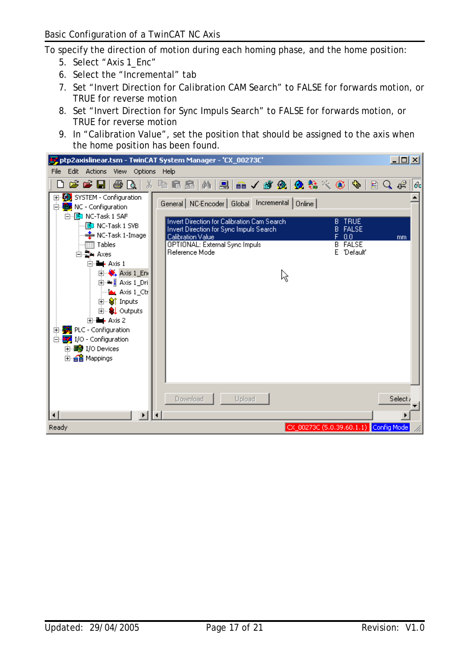To specify the direction of motion during each homing phase, and the home position:

- 5. Select "Axis 1\_Enc"
- 6. Select the "Incremental" tab
- 7. Set "Invert Direction for Calibration CAM Search" to FALSE for forwards motion, or TRUE for reverse motion
- 8. Set "Invert Direction for Sync Impuls Search" to FALSE for forwards motion, or TRUE for reverse motion
- 9. In "Calibration Value", set the position that should be assigned to the axis when the home position has been found.

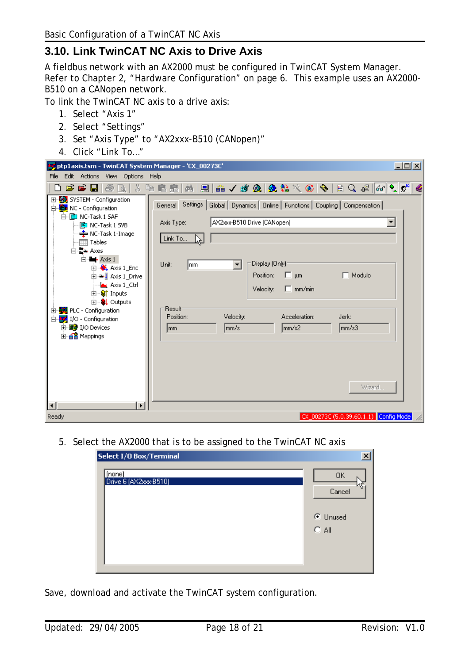## <span id="page-17-0"></span>**3.10. Link TwinCAT NC Axis to Drive Axis**

A fieldbus network with an AX2000 must be configured in TwinCAT System Manager. Refer to Chapter [2,](#page-5-1) "[Hardware Configuration"](#page-5-1) on page [6.](#page-5-1) This example uses an AX2000- B510 on a CANopen network.

To link the TwinCAT NC axis to a drive axis:

- 1. Select "Axis 1"
- 2. Select "Settings"
- 3. Set "Axis Type" to "AX2xxx-B510 (CANopen)"
- 4. Click "Link To…"

| $\Box$ u $\overline{\mathbf{z}}$<br>" ptp1axis.tsm - TwinCAT System Manager - 'CX_00273C'                                                                                                                                                                                                                                                                                                                                                                                         |                                                                                                                                                                                                                                                                                                                      |                      |
|-----------------------------------------------------------------------------------------------------------------------------------------------------------------------------------------------------------------------------------------------------------------------------------------------------------------------------------------------------------------------------------------------------------------------------------------------------------------------------------|----------------------------------------------------------------------------------------------------------------------------------------------------------------------------------------------------------------------------------------------------------------------------------------------------------------------|----------------------|
| Edit Actions View Options Help<br><b>File</b>                                                                                                                                                                                                                                                                                                                                                                                                                                     |                                                                                                                                                                                                                                                                                                                      |                      |
| 66 H 5 A 1                                                                                                                                                                                                                                                                                                                                                                                                                                                                        |                                                                                                                                                                                                                                                                                                                      | €                    |
| El <sup></sup> 2. SYSTEM - Configuration<br>白 i i NC - Configuration<br>白 <b>E</b> NC-Task 1 SAF<br>Axis Type:<br>图 NC-Task 1 SVB<br>→ NC-Task 1-Image<br>Link To<br>⊞ Tables<br>白 <b>上</b> Axes<br>$\Box$ - Axis 1<br>Unit:<br>lmm.<br>$\Box$ Axis 1_Enc<br>向→ Laxis 1_Drive<br>- Mar Axis 1_Ctrl<br><b>E</b> Striputs<br><b>由… SL</b> Outputs<br><b>Result</b><br>白·學 PLC - Configuration<br>Position:<br>I/O - Configuration<br>Ė₩<br>由 99 I/O Devices<br>lmm.<br>由 a Mappings | General Settings   Global   Dynamics   Online   Functions   Coupling   Compensation  <br>AX2xxx-B510 Drive (CANopen)<br>Display (Only):<br>▾╎<br>$\Box$ $\mu$ m<br>$\Box$ Modulo<br>Position:<br>$\Box$ mm/min<br>Velocity:<br>Acceleration:<br>Velocity:<br>Jerk:<br>$\vert$ mm/s $3$<br>lmm/s:<br>lmm/s2<br>Wizard | $\blacktriangledown$ |
| $\mathbf{F}$<br>Ready                                                                                                                                                                                                                                                                                                                                                                                                                                                             | CX_00273C (5.0.39.60.1.1) Config Mode                                                                                                                                                                                                                                                                                |                      |
|                                                                                                                                                                                                                                                                                                                                                                                                                                                                                   |                                                                                                                                                                                                                                                                                                                      |                      |

5. Select the AX2000 that is to be assigned to the TwinCAT NC axis

| Select I/O Box/Terminal         | $\vert x \vert$                            |
|---------------------------------|--------------------------------------------|
| (none)<br>Drive 6 (AX2xxx-B510) | <b>OK</b><br>Cancel<br>C Unused<br>$C$ All |

Save, download and activate the TwinCAT system configuration.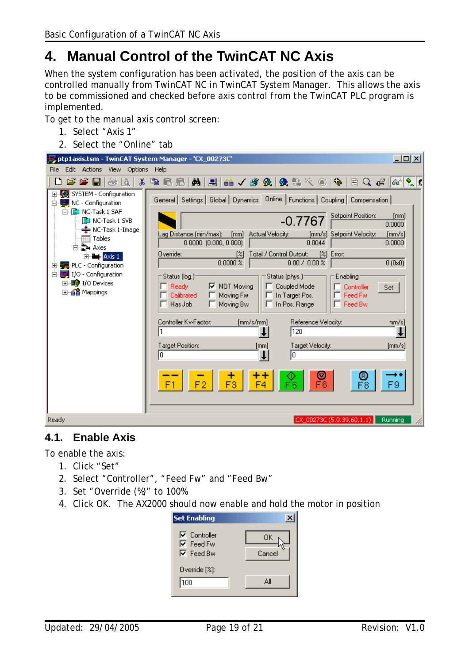## <span id="page-18-0"></span>**4. Manual Control of the TwinCAT NC Axis**

When the system configuration has been activated, the position of the axis can be controlled manually from TwinCAT NC in TwinCAT System Manager. This allows the axis to be commissioned and checked before axis control from the TwinCAT PLC program is implemented.

To get to the manual axis control screen:

- 1. Select "Axis 1"
- 2. Select the "Online" tab

| $\Box$ ol $\times$<br>ptp1axis.tsm - TwinCAT System Manager - 'CX_00273C'                                                                                                                                                                                                                                                                                                                                                                                                                                                                                                                                                                                                                                                                                                                                                                                                                                                                                                                                                                                                                                                                                                                                                                  |  |
|--------------------------------------------------------------------------------------------------------------------------------------------------------------------------------------------------------------------------------------------------------------------------------------------------------------------------------------------------------------------------------------------------------------------------------------------------------------------------------------------------------------------------------------------------------------------------------------------------------------------------------------------------------------------------------------------------------------------------------------------------------------------------------------------------------------------------------------------------------------------------------------------------------------------------------------------------------------------------------------------------------------------------------------------------------------------------------------------------------------------------------------------------------------------------------------------------------------------------------------------|--|
| Edit<br>Actions View Options<br>Help<br>File                                                                                                                                                                                                                                                                                                                                                                                                                                                                                                                                                                                                                                                                                                                                                                                                                                                                                                                                                                                                                                                                                                                                                                                               |  |
| 周 品 ノ 歌 免  免 吾 次 ⑥   や<br>没<br>49 日<br>Øå I<br>$\mathbb{E} \left[ \begin{array}{ccc} 1 & 0 \\ 0 & 0 \end{array} \right] \mathcal{C} \left[ \begin{array}{ccc} 0 & 0 \\ 0 & 0 \end{array} \right] \mathcal{C}$<br>c c l<br>鱼<br>晶十<br>Γà                                                                                                                                                                                                                                                                                                                                                                                                                                                                                                                                                                                                                                                                                                                                                                                                                                                                                                                                                                                                    |  |
| 田· <mark>袋)</mark> SYSTEM - Configuration<br>General   Settings   Global   Dynamics   Online   Functions   Coupling   Compensation  <br>白 tak NC - Configuration<br>白 <b>E</b> NC-Task 1 SAF<br>Setpoint Position:<br>[mm]<br>$-0.7767$<br>ed NC-Task 1 SVB<br>0.0000<br>♣ NC-Task 1-Image<br>Lag Distance (min/max):<br>Actual Velocity:<br>[mm/s] Setpoint Velocity:<br>[mm]<br>[mm/s]<br><b>Tables</b><br>$0.0000$ $(0.000, 0.000)$<br>0.0044<br>0.0000<br>⊟ stakes<br>Override:<br>Total / Control Output:<br>[%] Error:<br>[%]<br>$E = -A\times S$ 1<br>$0.0000 \times$<br>$0.00$ / $0.00$ %<br>0(0x0)<br>PLC - Configuration<br>$\overline{+}$<br>V I/O - Configuration<br>Ė.<br>Status (log.)-<br>Status (phys.)-<br>Enabling<br>由 图 I/O Devices<br>Ready<br>$\nabla$ NOT Moving<br>Coupled Mode<br>Controller<br>Set<br>由 e <sup>2</sup> Mappings<br>Feed Fw<br>Calibrated<br>Moving Fw<br>In Target Pos.<br>Feed Bw<br>$\Box$ Has Job<br>Moving Bw<br>In Pos. Range<br>ш<br>Controller Kv-Factor:<br>[mm/s/mm]<br>Reference Velocity:<br>mm/s]<br>120<br>Target Position:<br>Target Velocity:<br>${\rm [mm/s]}$<br>[mm]<br>I٥<br>lo<br>⊚<br>R<br>F1<br>F3<br>F6<br>F8<br>F4<br>5<br>Ready<br>CX 00273C (5.0.39.60.1.1)<br>Running |  |

#### **4.1. Enable Axis**

To enable the axis:

- 1. Click "Set"
- 2. Select "Controller", "Feed Fw" and "Feed Bw"
- 3. Set "Override (%)" to 100%
- 4. Click OK. The AX2000 should now enable and hold the motor in position

| Set Enabling                                                                  |              |
|-------------------------------------------------------------------------------|--------------|
| $\nabla$ Controller<br>$\overline{\triangledown}$ Feed Fw<br>$\nabla$ Feed Bw | OΚ<br>Cancel |
| Override $[%]$ :                                                              |              |
| 100                                                                           | Δll          |
|                                                                               |              |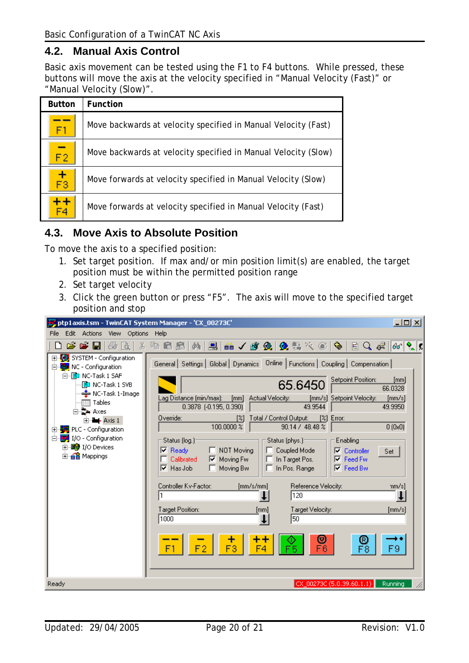### <span id="page-19-0"></span>**4.2. Manual Axis Control**

Basic axis movement can be tested using the F1 to F4 buttons. While pressed, these buttons will move the axis at the velocity specified in "Manual Velocity (Fast)" or "Manual Velocity (Slow)".

| <b>Button</b>   | <b>Function</b>                                                |
|-----------------|----------------------------------------------------------------|
| F1              | Move backwards at velocity specified in Manual Velocity (Fast) |
| $\overline{F2}$ | Move backwards at velocity specified in Manual Velocity (Slow) |
| $\frac{+}{F3}$  | Move forwards at velocity specified in Manual Velocity (Slow)  |
|                 | Move forwards at velocity specified in Manual Velocity (Fast)  |

#### **4.3. Move Axis to Absolute Position**

To move the axis to a specified position:

- 1. Set target position. If max and/or min position limit(s) are enabled, the target position must be within the permitted position range
- 2. Set target velocity
- 3. Click the green button or press "F5". The axis will move to the specified target position and stop

| Edit<br>Actions View Options Help<br>File<br>英国品/改め 免またの 中日 9 4 16 2.5<br>c c l<br>画面<br>X<br>电话<br>晶十<br>El-Configuration<br>General   Settings   Global   Dynamics   Online   Functions   Coupling   Compensation  <br>白 tak NC - Configuration<br>白 <b>P</b> NC-Task 1 SAF<br>Setpoint Position:<br>[mm]<br>65.6450<br>- ED NC-Task 1 SVB<br>66.0328<br>└ NC-Task 1-Image<br>Lag Distance (min/max):<br>Actual Velocity:<br>[mm/s] Setpoint Velocity:<br>[mm]<br>$[{\rm mm/s}]$<br>Tables<br>49.9544<br>0.3878 [-0.195, 0.390]<br>49.9950<br>⊟ ‡ Axes<br>Override:<br>Total / Control Output:<br>[%] Error:<br>[%]<br>$\Box$ - Axis 1<br>100.0000 %<br>0(0x0)<br>90.14 / 48.48 %<br>图 PLC - Configuration<br>$\mathbf{F}$<br>VO - Configuration<br>Ėŀ<br>Status (log.) <sup>.</sup><br>Status (phys.)-<br>Enabling<br>由 图 I/O Devices<br>$\nabla$ Ready<br>NOT Moving<br>Coupled Mode<br>☞<br>Controller<br>Set<br>由·e Mappings<br>Calibrated<br>$\nabla$ Moving Fw<br>In Target Pos.<br>Feed Fw<br>⊽<br>$\nabla$ Feed Bw<br>$\nabla$ Has Job<br>Moving Bw<br>In Pos. Range<br>Controller Kv-Factor:<br>[mm/s/mm]<br>Reference Velocity:<br>mm/s]<br>120<br>Target Position:<br>Target Velocity:<br>[mm/s]<br>[mm]<br> 1000 <br>50<br>⊚<br>®<br>F3<br>F6<br>F1 | $\Box$ ol $\times$<br>ptp1axis.tsm - TwinCAT System Manager - 'CX_00273C' |  |
|-------------------------------------------------------------------------------------------------------------------------------------------------------------------------------------------------------------------------------------------------------------------------------------------------------------------------------------------------------------------------------------------------------------------------------------------------------------------------------------------------------------------------------------------------------------------------------------------------------------------------------------------------------------------------------------------------------------------------------------------------------------------------------------------------------------------------------------------------------------------------------------------------------------------------------------------------------------------------------------------------------------------------------------------------------------------------------------------------------------------------------------------------------------------------------------------------------------------------------------------------------------------|---------------------------------------------------------------------------|--|
|                                                                                                                                                                                                                                                                                                                                                                                                                                                                                                                                                                                                                                                                                                                                                                                                                                                                                                                                                                                                                                                                                                                                                                                                                                                                   |                                                                           |  |
|                                                                                                                                                                                                                                                                                                                                                                                                                                                                                                                                                                                                                                                                                                                                                                                                                                                                                                                                                                                                                                                                                                                                                                                                                                                                   |                                                                           |  |
| CX_00273C (5.0.39.60.1.1)<br>Ready<br>Running                                                                                                                                                                                                                                                                                                                                                                                                                                                                                                                                                                                                                                                                                                                                                                                                                                                                                                                                                                                                                                                                                                                                                                                                                     |                                                                           |  |